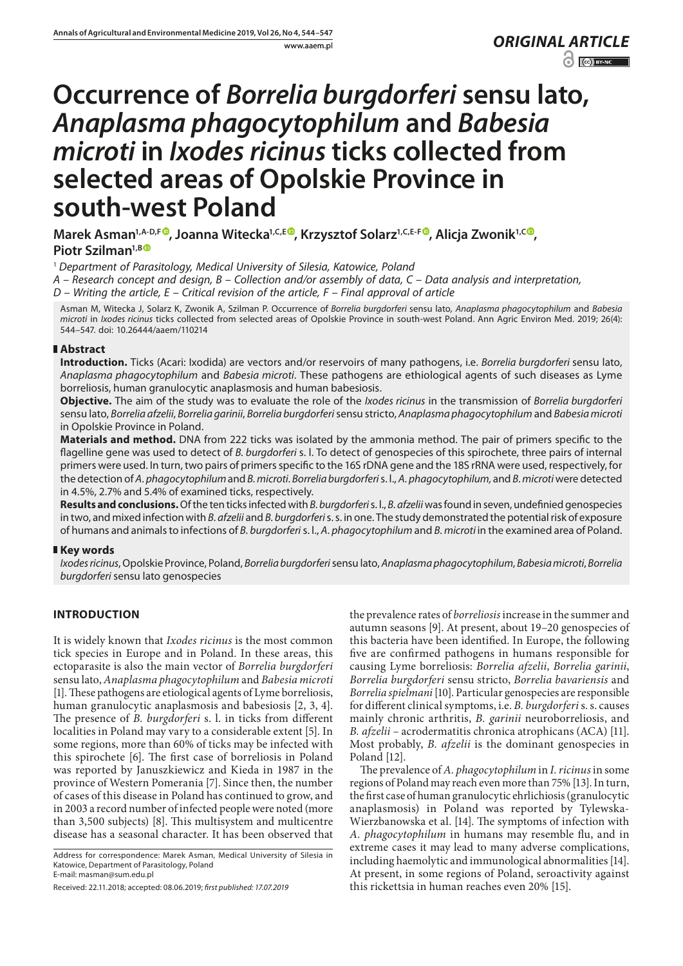www.aaem.pl *ORIGINAL [ARTICLE](http://creativecommons.org/licenses/by-nc/3.0/pl/deed.en)*   $\left| \begin{array}{cc} \text{ } & \text{ } \\ \text{ } & \text{ } \end{array} \right|$   $\left| \begin{array}{cc} \text{ } & \text{ } \\ \text{ } & \text{ } \end{array} \right|$ 

# **Occurrence of** *Borrelia burgdorferi* **sensu lato,**  *Anaplasma phagocytophilum* **and** *Babesia microti* **in** *Ixodes ricinus* **ticks collected from selected areas of Opolskie Province in south-west Poland**

**Marek Asman1,A-D,F [,](https://orcid.org/0000-0001-8832-7726) Joanna Witecka1,C,E , Krzysztof Solarz1,C,E-F , Alicja Zwonik1,C [,](https://orcid.org/0000-0001-5729-1759)** Piotr Szilman<sup>1,BO</sup>

<sup>1</sup> *Department of Parasitology, Medical University of Silesia, Katowice, Poland*

*A – Research concept and design, B – Collection and/or assembly of data, C – Data analysis and interpretation,* 

*D – Writing the article, E – Critical revision of the article, F – Final approval of article*

Asman M, Witecka J, Solarz K, Zwonik A, Szilman P. Occurrence of *Borrelia burgdorferi* sensu lato*, Anaplasma phagocytophilum* and *Babesia microti* in *Ixodes ricinus* ticks collected from selected areas of Opolskie Province in south-west Poland. Ann Agric Environ Med. 2019; 26(4): 544–547. doi: 10.26444/aaem/110214

# **Abstract**

**Introduction.** Ticks (Acari: Ixodida) are vectors and/or reservoirs of many pathogens, i.e. *Borrelia burgdorferi* sensu lato, *Anaplasma phagocytophilum* and *Babesia microti*. These pathogens are ethiological agents of such diseases as Lyme borreliosis, human granulocytic anaplasmosis and human babesiosis.

**Objective.** The aim of the study was to evaluate the role of the *Ixodes ricinus* in the transmission of *Borrelia burgdorferi* sensu lato, *Borrelia afzelii*, *Borrelia garinii*, *Borrelia burgdorferi* sensu stricto, *Anaplasma phagocytophilum* and *Babesia microti*  in Opolskie Province in Poland.

**Materials and method.** DNA from 222 ticks was isolated by the ammonia method. The pair of primers specific to the flagelline gene was used to detect of *B. burgdorferi* s. l. To detect of genospecies of this spirochete, three pairs of internal primers were used. In turn, two pairs of primers specific to the 16S rDNA gene and the 18S rRNA were used, respectively, for the detection of *A. phagocytophilum* and *B. microti*. *Borrelia burgdorferi* s. l., *A. phagocytophilum,* and *B. microti* were detected in 4.5%, 2.7% and 5.4% of examined ticks, respectively.

**Results and conclusions.** Of the ten ticks infected with *B. burgdorferi* s. l., *B. afzelii* was found in seven, undefinied genospecies in two, and mixed infection with *B. afzelii* and *B. burgdorferi* s. s. in one. The study demonstrated the potential risk of exposure of humans and animals to infections of *B. burgdorferi* s. l., *A. phagocytophilum* and *B. microti* in the examined area of Poland.

# **Key words**

*Ixodes ricinus*, Opolskie Province, Poland, *Borrelia burgdorferi* sensu lato, *Anaplasma phagocytophilum*, *Babesia microti*, *Borrelia burgdorferi* sensu lato genospecies

# **INTRODUCTION**

It is widely known that *Ixodes ricinus* is the most common tick species in Europe and in Poland. In these areas, this ectoparasite is also the main vector of *Borrelia burgdorferi* sensu lato, *Anaplasma phagocytophilum* and *Babesia microti* [1]. These pathogens are etiological agents of Lyme borreliosis, human granulocytic anaplasmosis and babesiosis [2, 3, 4]. The presence of *B. burgdorferi* s. l. in ticks from different localities in Poland may vary to a considerable extent [5]. In some regions, more than 60% of ticks may be infected with this spirochete [6]. The first case of borreliosis in Poland was reported by Januszkiewicz and Kieda in 1987 in the province of Western Pomerania [7]. Since then, the number of cases of this disease in Poland has continued to grow, and in 2003 a record number of infected people were noted (more than 3,500 subjects) [8]. This multisystem and multicentre disease has a seasonal character. It has been observed that

Address for correspondence: Marek Asman, Medical University of Silesia in Katowice, Department of Parasitology, Poland E-mail: masman@sum.edu.pl

the prevalence rates of *borreliosis* increase in the summer and autumn seasons [9]. At present, about 19–20 genospecies of this bacteria have been identified. In Europe, the following five are confirmed pathogens in humans responsible for causing Lyme borreliosis: *Borrelia afzelii*, *Borrelia garinii*, *Borrelia burgdorferi* sensu stricto, *Borrelia bavariensis* and *Borrelia spielmani* [10]. Particular genospecies are responsible for different clinical symptoms, i.e. *B. burgdorferi* s. s. causes mainly chronic arthritis, *B. garinii* neuroborreliosis, and *B. afzelii –* acrodermatitis chronica atrophicans (ACA) [11]. Most probably, *B. afzelii* is the dominant genospecies in Poland [12].

The prevalence of *A. phagocytophilum* in *I. ricinus* in some regions of Poland may reach even more than 75% [13]. In turn, the first case of human granulocytic ehrlichiosis (granulocytic anaplasmosis) in Poland was reported by Tylewska-Wierzbanowska et al. [14]. The symptoms of infection with *A. phagocytophilum* in humans may resemble flu, and in extreme cases it may lead to many adverse complications, including haemolytic and immunological abnormalities [14]. At present, in some regions of Poland, seroactivity against this rickettsia in human reaches even 20% [15].

Received: 22.11.2018; accepted: 08.06.2019; *first published: 17.07.2019*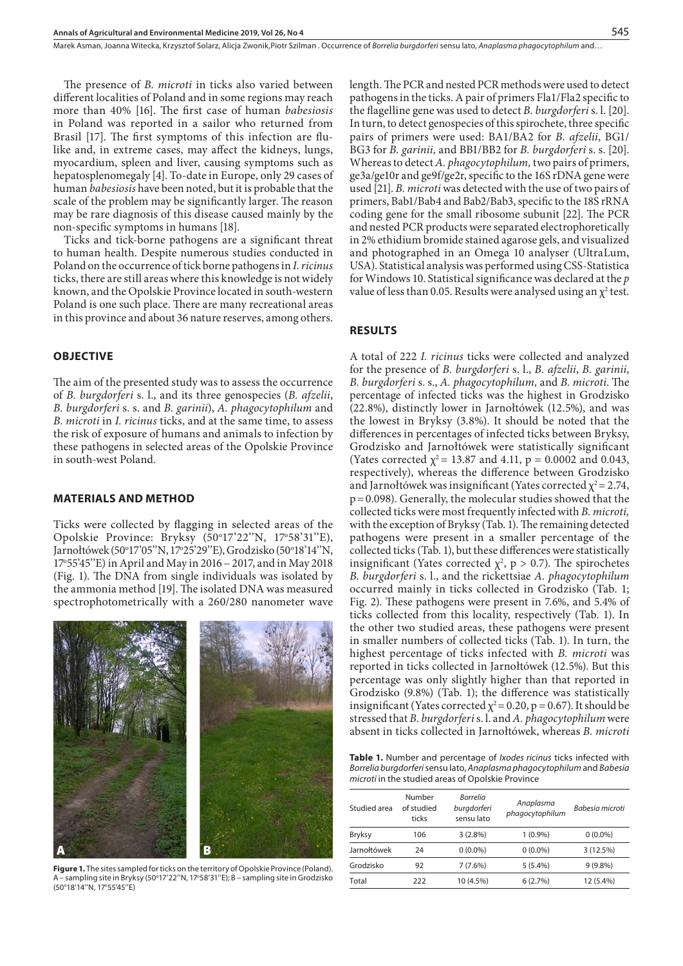The presence of *B. microti* in ticks also varied between different localities of Poland and in some regions may reach more than 40% [16]. The first case of human *babesiosis* in Poland was reported in a sailor who returned from Brasil [17]. The first symptoms of this infection are flulike and, in extreme cases, may affect the kidneys, lungs, myocardium, spleen and liver, causing symptoms such as hepatosplenomegaly [4]. To-date in Europe, only 29 cases of human *babesiosis* have been noted, but it is probable that the scale of the problem may be significantly larger. The reason may be rare diagnosis of this disease caused mainly by the non-specific symptoms in humans [18].

Ticks and tick-borne pathogens are a significant threat to human health. Despite numerous studies conducted in Poland on the occurrence of tick borne pathogens in *I. ricinus* ticks, there are still areas where this knowledge is not widely known, and the Opolskie Province located in south-western Poland is one such place. There are many recreational areas in this province and about 36 nature reserves, among others.

## **OBJECTIVE**

The aim of the presented study was to assess the occurrence of *B. burgdorferi* s. l., and its three genospecies (*B. afzelii*, *B. burgdorferi* s. s. and *B. garinii*), *A. phagocytophilum* and *B. microti* in *I. ricinus* ticks, and at the same time, to assess the risk of exposure of humans and animals to infection by these pathogens in selected areas of the Opolskie Province in south-west Poland.

#### **MATERIALS AND METHOD**

Ticks were collected by flagging in selected areas of the Opolskie Province: Bryksy (50°17'22"N, 17°58'31"E), Jarnołtówek (50°17'05''N, 17°25'29''E), Grodzisko (50°18'14''N, 17o 55'45''E) in April and May in 2016 – 2017, and in May 2018 (Fig. 1). The DNA from single individuals was isolated by the ammonia method [19]. The isolated DNA was measured spectrophotometrically with a 260/280 nanometer wave



**Figure 1.** The sites sampled for ticks on the territory of Opolskie Province (Poland). A – sampling site in Bryksy (50°17'22"N, 17°58'31"E); B – sampling site in Grodzisko (50o 18'14''N, 17o 55'45''E)

length. The PCR and nested PCR methods were used to detect pathogens in the ticks. A pair of primers Fla1/Fla2 specific to the flagelline gene was used to detect *B. burgdorferi* s. l. [20]. In turn, to detect genospecies of this spirochete, three specific pairs of primers were used: BA1/BA2 for *B. afzelii*, BG1/ BG3 for *B. garinii,* and BB1/BB2 for *B. burgdorferi* s. s. [20]. Whereas to detect *A. phagocytophilum,* two pairs of primers, ge3a/ge10r and ge9f/ge2r, specific to the 16S rDNA gene were used [21]. *B. microti* was detected with the use of two pairs of primers, Bab1/Bab4 and Bab2/Bab3, specific to the 18S rRNA coding gene for the small ribosome subunit [22]. The PCR and nested PCR products were separated electrophoretically in 2% ethidium bromide stained agarose gels, and visualized and photographed in an Omega 10 analyser (UltraLum, USA). Statistical analysis was performed using CSS-Statistica for Windows 10. Statistical significance was declared at the *p* value of less than 0.05. Results were analysed using an  $\chi^2$  test.

#### **RESULTS**

A total of 222 *I. ricinus* ticks were collected and analyzed for the presence of *B. burgdorferi* s. l., *B. afzelii*, *B. garinii*, *B. burgdorferi* s. s., *A. phagocytophilum,* and *B. microti*. The percentage of infected ticks was the highest in Grodzisko (22.8%), distinctly lower in Jarnołtówek (12.5%), and was the lowest in Bryksy (3.8%). It should be noted that the differences in percentages of infected ticks between Bryksy, Grodzisko and Jarnołtówek were statistically significant (Yates corrected  $\chi^2$  = 13.87 and 4.11, p = 0.0002 and 0.043, respectively), whereas the difference between Grodzisko and Jarnołtówek was insignificant (Yates corrected  $\chi^2$  = 2.74, p=0.098). Generally, the molecular studies showed that the collected ticks were most frequently infected with *B. microti,*  with the exception of Bryksy (Tab. 1). The remaining detected pathogens were present in a smaller percentage of the collected ticks(Tab. 1), but these differences were statistically insignificant (Yates corrected  $\chi^2$ , p > 0.7). The spirochetes *B. burgdorferi* s. l., and the rickettsiae *A. phagocytophilum* occurred mainly in ticks collected in Grodzisko (Tab. 1; Fig. 2). These pathogens were present in 7.6%, and 5.4% of ticks collected from this locality, respectively (Tab. 1). In the other two studied areas, these pathogens were present in smaller numbers of collected ticks (Tab. 1). In turn, the highest percentage of ticks infected with *B. microti* was reported in ticks collected in Jarnołtówek (12.5%). But this percentage was only slightly higher than that reported in Grodzisko (9.8%) (Tab. 1); the difference was statistically insignificant (Yates corrected  $\chi^2$  = 0.20, p = 0.67). It should be stressed that *B. burgdorferi* s. l. and *A. phagocytophilum* were absent in ticks collected in Jarnołtówek, whereas *B. microti*

**Table 1.** Number and percentage of *Ixodes ricinus* ticks infected with *Borrelia burgdorferi* sensu lato, *Anaplasma phagocytophilum* and *Babesia microti* in the studied areas of Opolskie Province

| Studied area  | Number<br>of studied<br>ticks | <b>Borrelia</b><br>burgdorferi<br>sensu lato | Anaplasma<br>phagocytophilum | Babesia microti |
|---------------|-------------------------------|----------------------------------------------|------------------------------|-----------------|
| <b>Bryksy</b> | 106                           | $3(2.8\%)$                                   | $1(0.9\%)$                   | $0(0.0\%)$      |
| Jarnołtówek   | 24                            | $0(0.0\%)$                                   | $0(0.0\%)$                   | 3(12.5%)        |
| Grodzisko     | 92                            | $7(7.6\%)$                                   | $5(5.4\%)$                   | $9(9.8\%)$      |
| Total         | 222                           | 10 (4.5%)                                    | 6(2.7%)                      | 12 (5.4%)       |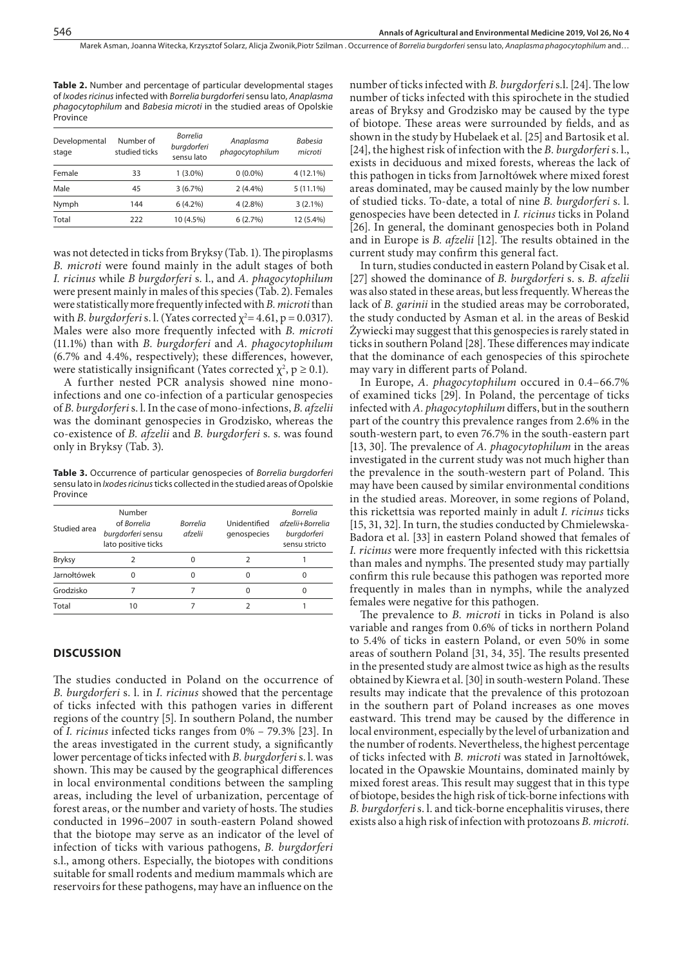Marek Asman, Joanna Witecka, Krzysztof Solarz, Alicja Zwonik,Piotr Szilman . Occurrence of *Borrelia burgdorferi* sensu lato, *Anaplasma phagocytophilum* and…

**Table 2.** Number and percentage of particular developmental stages of *Ixodes ricinus* infected with *Borrelia burgdorferi* sensu lato, *Anaplasma phagocytophilum* and *Babesia microti* in the studied areas of Opolskie Province

| Number of<br>studied ticks | <b>Borrelia</b><br>burgdorferi<br>sensu lato | Anaplasma<br>phagocytophilum | <b>Babesia</b><br>microti |
|----------------------------|----------------------------------------------|------------------------------|---------------------------|
| 33                         | $1(3.0\%)$                                   | $0(0.0\%)$                   | 4 (12.1%)                 |
| 45                         | $3(6.7\%)$                                   | $2(4.4\%)$                   | $5(11.1\%)$               |
| 144                        | $6(4.2\%)$                                   | $4(2.8\%)$                   | $3(2.1\%)$                |
| 222                        | 10 (4.5%)                                    | 6(2.7%)                      | 12 (5.4%)                 |
|                            |                                              |                              |                           |

was not detected in ticks from Bryksy (Tab. 1). The piroplasms *B. microti* were found mainly in the adult stages of both *I. ricinus* while *B burgdorferi* s. l., and *A. phagocytophilum* were present mainly in males of this species (Tab. 2). Females were statistically more frequently infected with *B. microti* than with *B. burgdorferi* s. l. (Yates corrected  $\chi^2$  = 4.61, p = 0.0317). Males were also more frequently infected with *B. microti* (11.1%) than with *B. burgdorferi* and *A. phagocytophilum* (6.7% and 4.4%, respectively); these differences, however, were statistically insignificant (Yates corrected  $\chi^2$ , p  $\geq 0.1$ ).

A further nested PCR analysis showed nine monoinfections and one co-infection of a particular genospecies of *B. burgdorferi* s. l. In the case of mono-infections, *B. afzelii*  was the dominant genospecies in Grodzisko, whereas the co-existence of *B. afzelii* and *B. burgdorferi* s. s. was found only in Bryksy (Tab. 3).

**Table 3.** Occurrence of particular genospecies of *Borrelia burgdorferi* sensu lato in *Ixodes ricinus* ticks collected in the studied areas of Opolskie Province

| Studied area  | Number<br>of Borrelia<br>burgdorferi sensu<br>lato positive ticks | <b>Borrelia</b><br>afzelii | Unidentified<br>genospecies | <b>Borrelia</b><br>afzelii+Borrelia<br>burgdorferi<br>sensu stricto |
|---------------|-------------------------------------------------------------------|----------------------------|-----------------------------|---------------------------------------------------------------------|
| <b>Bryksy</b> |                                                                   |                            | 2                           |                                                                     |
| Jarnołtówek   |                                                                   |                            | 0                           |                                                                     |
| Grodzisko     |                                                                   |                            | O                           | O                                                                   |
| Total         | 10                                                                |                            |                             |                                                                     |
|               |                                                                   |                            |                             |                                                                     |

# **DISCUSSION**

The studies conducted in Poland on the occurrence of *B. burgdorferi* s. l. in *I. ricinus* showed that the percentage of ticks infected with this pathogen varies in different regions of the country [5]. In southern Poland, the number of *I. ricinus* infected ticks ranges from 0% – 79.3% [23]. In the areas investigated in the current study, a significantly lower percentage of ticks infected with *B. burgdorferi* s. l. was shown. This may be caused by the geographical differences in local environmental conditions between the sampling areas, including the level of urbanization, percentage of forest areas, or the number and variety of hosts. The studies conducted in 1996–2007 in south-eastern Poland showed that the biotope may serve as an indicator of the level of infection of ticks with various pathogens, *B. burgdorferi* s.l., among others. Especially, the biotopes with conditions suitable for small rodents and medium mammals which are reservoirs for these pathogens, may have an influence on the

number of ticks infected with *B. burgdorferi* s.l. [24]. The low number of ticks infected with this spirochete in the studied areas of Bryksy and Grodzisko may be caused by the type of biotope. These areas were surrounded by fields, and as shown in the study by Hubelaek et al. [25] and Bartosik et al. [24], the highest risk of infection with the *B. burgdorferi* s. l., exists in deciduous and mixed forests, whereas the lack of this pathogen in ticks from Jarnołtówek where mixed forest areas dominated, may be caused mainly by the low number of studied ticks. To-date, a total of nine *B. burgdorferi* s. l. genospecies have been detected in *I. ricinus* ticks in Poland [26]. In general, the dominant genospecies both in Poland and in Europe is *B. afzelii* [12]. The results obtained in the current study may confirm this general fact.

In turn, studies conducted in eastern Poland by Cisak et al. [27] showed the dominance of *B. burgdorferi* s. s. *B. afzelii* was also stated in these areas, but less frequently. Whereas the lack of *B. garinii* in the studied areas may be corroborated, the study conducted by Asman et al. in the areas of Beskid Żywiecki may suggest that this genospecies is rarely stated in ticks in southern Poland [28]. These differences may indicate that the dominance of each genospecies of this spirochete may vary in different parts of Poland.

In Europe, *A. phagocytophilum* occured in 0.4–66.7% of examined ticks [29]. In Poland, the percentage of ticks infected with *A. phagocytophilum* differs, but in the southern part of the country this prevalence ranges from 2.6% in the south-western part, to even 76.7% in the south-eastern part [13, 30]. The prevalence of *A. phagocytophilum* in the areas investigated in the current study was not much higher than the prevalence in the south-western part of Poland. This may have been caused by similar environmental conditions in the studied areas. Moreover, in some regions of Poland, this rickettsia was reported mainly in adult *I. ricinus* ticks [15, 31, 32]. In turn, the studies conducted by Chmielewska-Badora et al. [33] in eastern Poland showed that females of *I. ricinus* were more frequently infected with this rickettsia than males and nymphs. The presented study may partially confirm this rule because this pathogen was reported more frequently in males than in nymphs, while the analyzed females were negative for this pathogen.

The prevalence to *B. microti* in ticks in Poland is also variable and ranges from 0.6% of ticks in northern Poland to 5.4% of ticks in eastern Poland, or even 50% in some areas of southern Poland [31, 34, 35]. The results presented in the presented study are almost twice as high as the results obtained by Kiewra et al. [30] in south-western Poland. These results may indicate that the prevalence of this protozoan in the southern part of Poland increases as one moves eastward. This trend may be caused by the difference in local environment, especially by the level of urbanization and the number of rodents. Nevertheless, the highest percentage of ticks infected with *B. microti* was stated in Jarnołtówek, located in the Opawskie Mountains, dominated mainly by mixed forest areas. This result may suggest that in this type of biotope, besides the high risk of tick-borne infections with *B. burgdorferi* s. l. and tick-borne encephalitis viruses, there exists also a high risk of infection with protozoans *B. microti.*